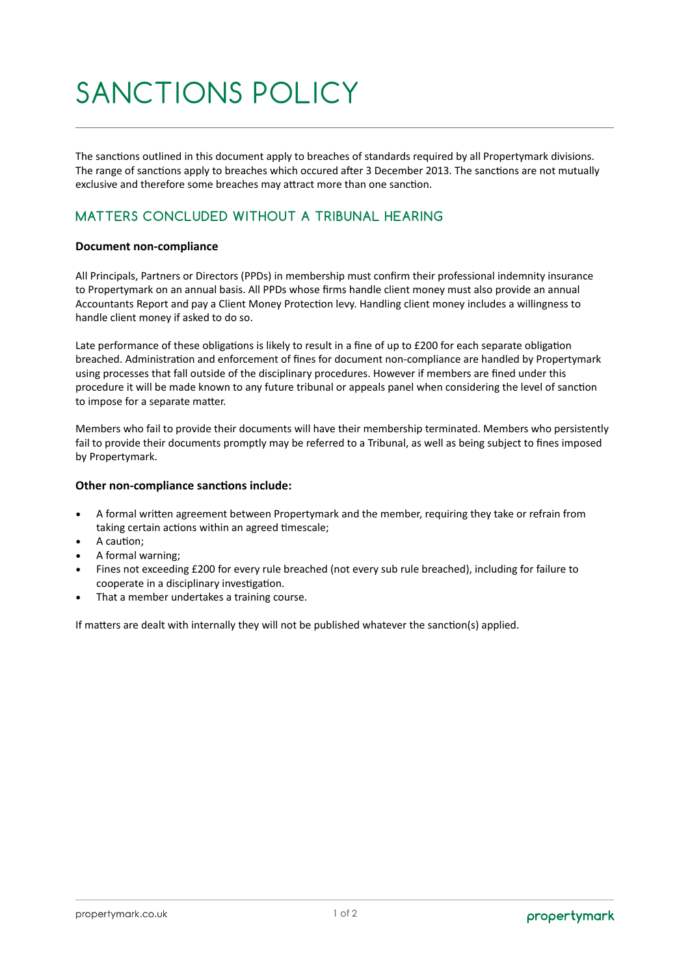# SANCTIONS POLICY

The sanctions outlined in this document apply to breaches of standards required by all Propertymark divisions. The range of sanctions apply to breaches which occured after 3 December 2013. The sanctions are not mutually exclusive and therefore some breaches may attract more than one sanction.

## **MATTERS CONCLUDED WITHOUT A TRIBUNAL HEARING**

#### **Document non-compliance**

All Principals, Partners or Directors (PPDs) in membership must confirm their professional indemnity insurance to Propertymark on an annual basis. All PPDs whose firms handle client money must also provide an annual Accountants Report and pay a Client Money Protection levy. Handling client money includes a willingness to handle client money if asked to do so.

Late performance of these obligations is likely to result in a fine of up to £200 for each separate obligation breached. Administration and enforcement of fines for document non-compliance are handled by Propertymark using processes that fall outside of the disciplinary procedures. However if members are fined under this procedure it will be made known to any future tribunal or appeals panel when considering the level of sanction to impose for a separate matter.

Members who fail to provide their documents will have their membership terminated. Members who persistently fail to provide their documents promptly may be referred to a Tribunal, as well as being subject to fines imposed by Propertymark.

#### **Other non-compliance sanctions include:**

- A formal written agreement between Propertymark and the member, requiring they take or refrain from taking certain actions within an agreed timescale;
- A caution;
- A formal warning;
- Fines not exceeding £200 for every rule breached (not every sub rule breached), including for failure to cooperate in a disciplinary investigation.
- That a member undertakes a training course.

If matters are dealt with internally they will not be published whatever the sanction(s) applied.